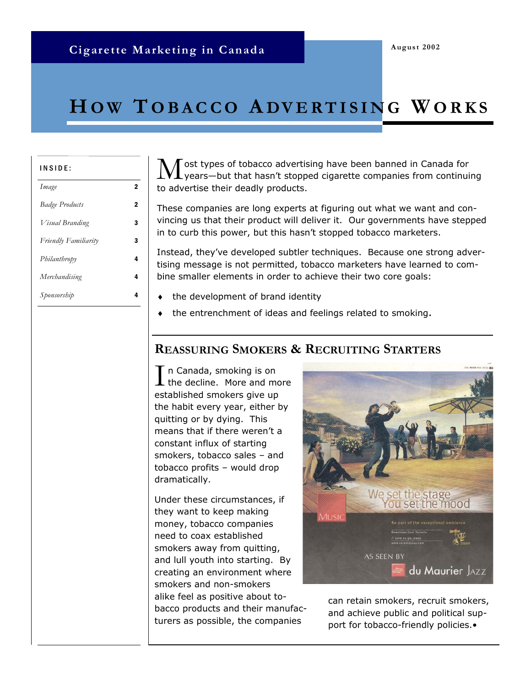# **Cigarette Marketing in Canada**

# **H O W T OBACCO A DVERTISING W ORKS**

| ı | NSI | D |  |  |
|---|-----|---|--|--|
|   |     |   |  |  |

| Image                       | 2 |
|-----------------------------|---|
| <b>Badge Products</b>       | 2 |
| Visual Branding             | 3 |
| <b>Friendly Familiarity</b> | 3 |
| Philanthropy                | 4 |
| Merchandising               | 4 |
| Sponsorship                 | Δ |

 $\rm\bf M$  ost types of tobacco advertising have been banned in Canada for<br>years—but that hasn't stopped cigarette companies from continuing to advertise their deadly products.

These companies are long experts at figuring out what we want and convincing us that their product will deliver it. Our governments have stepped in to curb this power, but this hasn't stopped tobacco marketers.

Instead, they've developed subtler techniques. Because one strong advertising message is not permitted, tobacco marketers have learned to combine smaller elements in order to achieve their two core goals:

- the development of brand identity
- the entrenchment of ideas and feelings related to smoking.

#### **REASSURING SMOKERS & RECRUITING STARTERS**

 $\prod$ n Canada, smoking is on<br>the decline. More and more established smokers give up the habit every year, either by quitting or by dying. This means that if there weren't a constant influx of starting smokers, tobacco sales – and tobacco profits – would drop dramatically.

Under these circumstances, if they want to keep making money, tobacco companies need to coax established smokers away from quitting, and lull youth into starting. By creating an environment where smokers and non-smokers alike feel as positive about tobacco products and their manufacturers as possible, the companies



can retain smokers, recruit smokers, and achieve public and political support for tobacco-friendly policies.•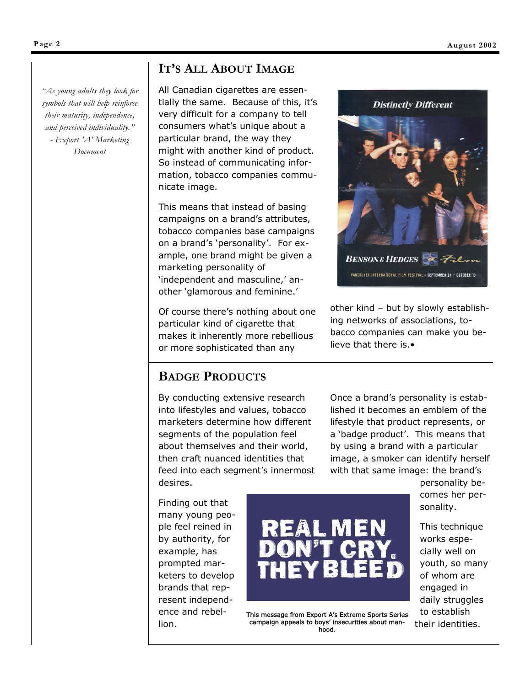*"As young adults they look for symbols that will help reinforce their maturity, independence, and perceived individuality." - Export 'A' Marketing Document* 

# **IT'S ALL ABOUT IMAGE**

All Canadian cigarettes are essentially the same. Because of this, it's very difficult for a company to tell consumers what's unique about a particular brand, the way they might with another kind of product. So instead of communicating information, tobacco companies communicate image.

This means that instead of basing campaigns on a brand's attributes, tobacco companies base campaigns on a brand's 'personality'. For example, one brand might be given a marketing personality of 'independent and masculine,' another 'glamorous and feminine.'

Of course there's nothing about one particular kind of cigarette that makes it inherently more rebellious or more sophisticated than any



other kind – but by slowly establishing networks of associations, tobacco companies can make you believe that there is.•

# **BADGE PRODUCTS**

By conducting extensive research into lifestyles and values, tobacco marketers determine how different segments of the population feel about themselves and their world, then craft nuanced identities that feed into each segment's innermost desires.

Once a brand's personality is established it becomes an emblem of the lifestyle that product represents, or a 'badge product'. This means that by using a brand with a particular image, a smoker can identify herself with that same image: the brand's

Finding out that many young people feel reined in by authority, for example, has prompted marketers to develop brands that represent independence and rebellion.



This message from Export A's Extreme Sports Series campaign appeals to boys' insecurities about manhood.

personality becomes her personality.

This technique works especially well on youth, so many of whom are engaged in daily struggles to establish their identities.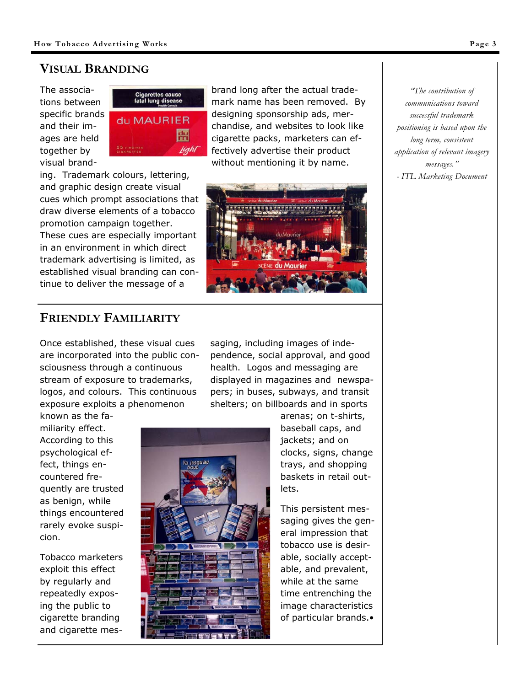# **VISUAL BRANDING**

The associations between specific brands and their images are held together by visual brand-



brand long after the actual trademark name has been removed. By designing sponsorship ads, merchandise, and websites to look like cigarette packs, marketers can effectively advertise their product without mentioning it by name.

ing. Trademark colours, lettering, and graphic design create visual cues which prompt associations that draw diverse elements of a tobacco promotion campaign together. These cues are especially important in an environment in which direct trademark advertising is limited, as established visual branding can continue to deliver the message of a



*"The contribution of communications toward successful trademark positioning is based upon the long term, consistent application of relevant imagery messages." - ITL Marketing Document* 

# **FRIENDLY FAMILIARITY**

Once established, these visual cues are incorporated into the public consciousness through a continuous stream of exposure to trademarks, logos, and colours. This continuous exposure exploits a phenomenon

saging, including images of independence, social approval, and good health. Logos and messaging are displayed in magazines and newspapers; in buses, subways, and transit shelters; on billboards and in sports

known as the familiarity effect. According to this psychological effect, things encountered frequently are trusted as benign, while things encountered rarely evoke suspicion.

Tobacco marketers exploit this effect by regularly and repeatedly exposing the public to cigarette branding and cigarette mes-



arenas; on t-shirts, baseball caps, and jackets; and on clocks, signs, change trays, and shopping baskets in retail outlets.

This persistent messaging gives the general impression that tobacco use is desirable, socially acceptable, and prevalent, while at the same time entrenching the image characteristics of particular brands.•